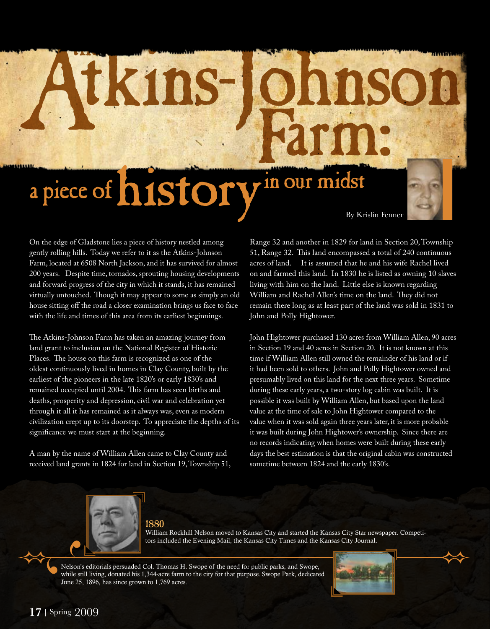# a piece of history in our midst By Krislin Fenner



On the edge of Gladstone lies a piece of history nestled among gently rolling hills. Today we refer to it as the Atkins-Johnson Farm, located at 6508 North Jackson, and it has survived for almost 200 years. Despite time, tornados, sprouting housing developments and forward progress of the city in which it stands, it has remained virtually untouched. Though it may appear to some as simply an old house sitting off the road a closer examination brings us face to face with the life and times of this area from its earliest beginnings.

Atkins-

The Atkins-Johnson Farm has taken an amazing journey from land grant to inclusion on the National Register of Historic Places. The house on this farm is recognized as one of the oldest continuously lived in homes in Clay County, built by the earliest of the pioneers in the late 1820's or early 1830's and remained occupied until 2004. This farm has seen births and deaths, prosperity and depression, civil war and celebration yet through it all it has remained as it always was, even as modern civilization crept up to its doorstep. To appreciate the depths of its significance we must start at the beginning.

A man by the name of William Allen came to Clay County and received land grants in 1824 for land in Section 19, Township 51,

Range 32 and another in 1829 for land in Section 20, Township 51, Range 32. This land encompassed a total of 240 continuous acres of land. It is assumed that he and his wife Rachel lived on and farmed this land. In 1830 he is listed as owning 10 slaves living with him on the land. Little else is known regarding William and Rachel Allen's time on the land. They did not remain there long as at least part of the land was sold in 1831 to John and Polly Hightower.

nns

John Hightower purchased 130 acres from William Allen, 90 acres in Section 19 and 40 acres in Section 20. It is not known at this time if William Allen still owned the remainder of his land or if it had been sold to others. John and Polly Hightower owned and presumably lived on this land for the next three years. Sometime during these early years, a two-story log cabin was built. It is possible it was built by William Allen, but based upon the land value at the time of sale to John Hightower compared to the value when it was sold again three years later, it is more probable it was built during John Hightower's ownership. Since there are no records indicating when homes were built during these early days the best estimation is that the original cabin was constructed sometime between 1824 and the early 1830's.



1880

William Rockhill Nelson moved to Kansas City and started the Kansas City Star newspaper. Competitors included the Evening Mail, the Kansas City Times and the Kansas City Journal.

Nelson's editorials persuaded Col. Thomas H. Swope of the need for public parks, and Swope, while still living, donated his 1,344-acre farm to the city for that purpose. Swope Park, dedicated June 25, 1896, has since grown to 1,769 acres.

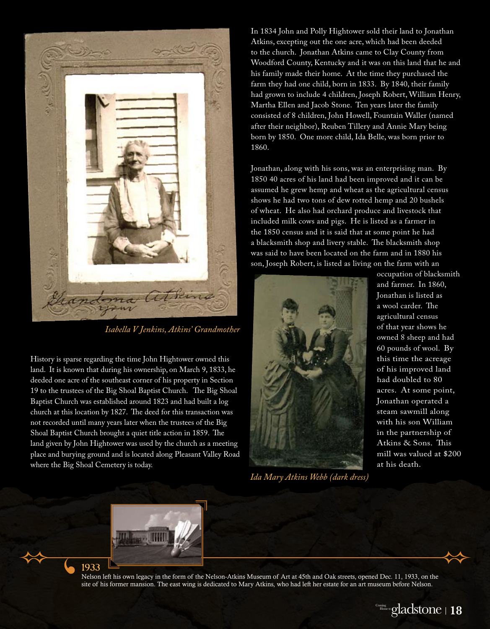

*Isabella V Jenkins, Atkins' Grandmother*

History is sparse regarding the time John Hightower owned this land. It is known that during his ownership, on March 9, 1833, he deeded one acre of the southeast corner of his property in Section 19 to the trustees of the Big Shoal Baptist Church. The Big Shoal Baptist Church was established around 1823 and had built a log church at this location by 1827. The deed for this transaction was not recorded until many years later when the trustees of the Big Shoal Baptist Church brought a quiet title action in 1859. The land given by John Hightower was used by the church as a meeting place and burying ground and is located along Pleasant Valley Road where the Big Shoal Cemetery is today.

In 1834 John and Polly Hightower sold their land to Jonathan Atkins, excepting out the one acre, which had been deeded to the church. Jonathan Atkins came to Clay County from Woodford County, Kentucky and it was on this land that he and his family made their home. At the time they purchased the farm they had one child, born in 1833. By 1840, their family had grown to include 4 children, Joseph Robert, William Henry, Martha Ellen and Jacob Stone. Ten years later the family consisted of 8 children, John Howell, Fountain Waller (named after their neighbor), Reuben Tillery and Annie Mary being born by 1850. One more child, Ida Belle, was born prior to 1860.

Jonathan, along with his sons, was an enterprising man. By 1850 40 acres of his land had been improved and it can be assumed he grew hemp and wheat as the agricultural census shows he had two tons of dew rotted hemp and 20 bushels of wheat. He also had orchard produce and livestock that included milk cows and pigs. He is listed as a farmer in the 1850 census and it is said that at some point he had a blacksmith shop and livery stable. The blacksmith shop was said to have been located on the farm and in 1880 his son, Joseph Robert, is listed as living on the farm with an



*Ida Mary Atkins Webb (dark dress)*

occupation of blacksmith and farmer. In 1860, Jonathan is listed as a wool carder. The agricultural census of that year shows he owned 8 sheep and had 60 pounds of wool. By this time the acreage of his improved land had doubled to 80 acres. At some point, Jonathan operated a steam sawmill along with his son William in the partnership of Atkins & Sons. This mill was valued at \$200 at his death.



1933

Nelson left his own legacy in the form of the Nelson-Atkins Museum of Art at 45th and Oak streets, opened Dec. 11, 1933, on the site of his former mansion. The east wing is dedicated to Mary Atkins, who had left her estate for an art museum before Nelson.<br>.

gladstone Coming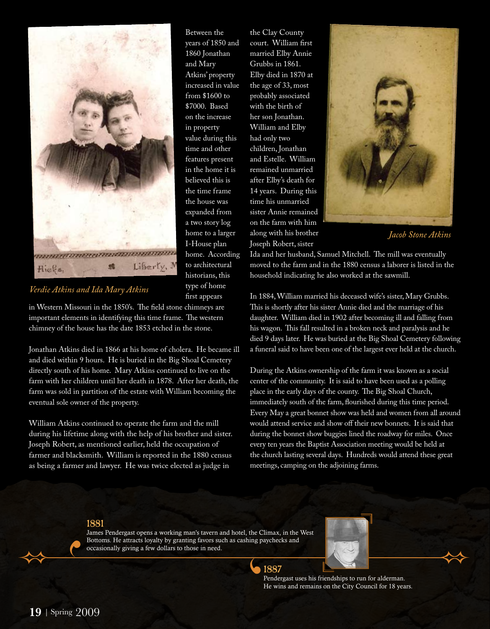

Between the years of 1850 and 1860 Jonathan and Mary Atkins' property increased in value from \$1600 to \$7000. Based on the increase in property value during this time and other features present in the home it is believed this is the time frame the house was expanded from a two story log home to a larger I-House plan home. According to architectural historians, this type of home first appears

*Verdie Atkins and Ida Mary Atkins*

in Western Missouri in the 1850's. The field stone chimneys are important elements in identifying this time frame. The western chimney of the house has the date 1853 etched in the stone.

Jonathan Atkins died in 1866 at his home of cholera. He became ill and died within 9 hours. He is buried in the Big Shoal Cemetery directly south of his home. Mary Atkins continued to live on the farm with her children until her death in 1878. After her death, the farm was sold in partition of the estate with William becoming the eventual sole owner of the property.

William Atkins continued to operate the farm and the mill during his lifetime along with the help of his brother and sister. Joseph Robert, as mentioned earlier, held the occupation of farmer and blacksmith. William is reported in the 1880 census as being a farmer and lawyer. He was twice elected as judge in

the Clay County court. William first married Elby Annie Grubbs in 1861. Elby died in 1870 at the age of 33, most probably associated with the birth of her son Jonathan. William and Elby had only two children, Jonathan and Estelle. William remained unmarried after Elby's death for 14 years. During this time his unmarried sister Annie remained on the farm with him along with his brother Joseph Robert, sister



*Jacob Stone Atkins*

Ida and her husband, Samuel Mitchell. The mill was eventually moved to the farm and in the 1880 census a laborer is listed in the household indicating he also worked at the sawmill.

In 1884, William married his deceased wife's sister, Mary Grubbs. This is shortly after his sister Annie died and the marriage of his daughter. William died in 1902 after becoming ill and falling from his wagon. This fall resulted in a broken neck and paralysis and he died 9 days later. He was buried at the Big Shoal Cemetery following a funeral said to have been one of the largest ever held at the church.

During the Atkins ownership of the farm it was known as a social center of the community. It is said to have been used as a polling place in the early days of the county. The Big Shoal Church, immediately south of the farm, flourished during this time period. Every May a great bonnet show was held and women from all around would attend service and show off their new bonnets. It is said that during the bonnet show buggies lined the roadway for miles. Once every ten years the Baptist Association meeting would be held at the church lasting several days. Hundreds would attend these great meetings, camping on the adjoining farms.

#### 1881

James Pendergast opens a working man's tavern and hotel, the Climax, in the West Bottoms. He attracts loyalty by granting favors such as cashing paychecks and occasionally giving a few dollars to those in need.



Pendergast uses his friendships to run for alderman. He wins and remains on the City Council for 18 years.

1887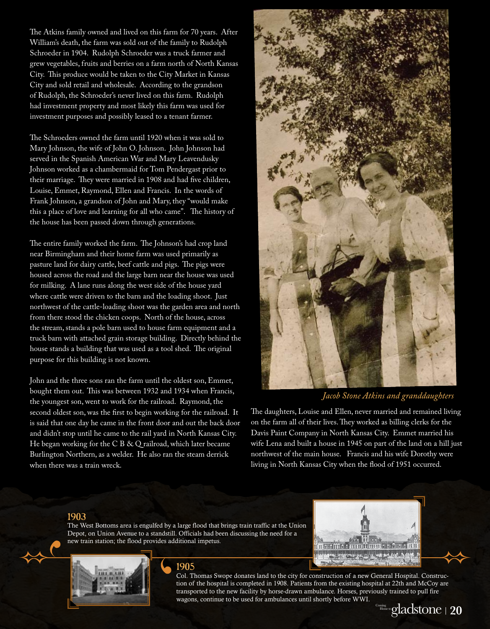The Atkins family owned and lived on this farm for 70 years. After William's death, the farm was sold out of the family to Rudolph Schroeder in 1904. Rudolph Schroeder was a truck farmer and grew vegetables, fruits and berries on a farm north of North Kansas City. This produce would be taken to the City Market in Kansas City and sold retail and wholesale. According to the grandson of Rudolph, the Schroeder's never lived on this farm. Rudolph had investment property and most likely this farm was used for investment purposes and possibly leased to a tenant farmer.

The Schroeders owned the farm until 1920 when it was sold to Mary Johnson, the wife of John O. Johnson. John Johnson had served in the Spanish American War and Mary Leavendusky Johnson worked as a chambermaid for Tom Pendergast prior to their marriage. They were married in 1908 and had five children, Louise, Emmet, Raymond, Ellen and Francis. In the words of Frank Johnson, a grandson of John and Mary, they "would make this a place of love and learning for all who came". The history of the house has been passed down through generations.

The entire family worked the farm. The Johnson's had crop land near Birmingham and their home farm was used primarily as pasture land for dairy cattle, beef cattle and pigs. The pigs were housed across the road and the large barn near the house was used for milking. A lane runs along the west side of the house yard where cattle were driven to the barn and the loading shoot. Just northwest of the cattle-loading shoot was the garden area and north from there stood the chicken coops. North of the house, across the stream, stands a pole barn used to house farm equipment and a truck barn with attached grain storage building. Directly behind the house stands a building that was used as a tool shed. The original purpose for this building is not known.

John and the three sons ran the farm until the oldest son, Emmet, bought them out. This was between 1932 and 1934 when Francis, the youngest son, went to work for the railroad. Raymond, the second oldest son, was the first to begin working for the railroad. It is said that one day he came in the front door and out the back door and didn't stop until he came to the rail yard in North Kansas City. He began working for the C B & Q railroad, which later became Burlington Northern, as a welder. He also ran the steam derrick when there was a train wreck.



### *Jacob Stone Atkins and granddaughters*

The daughters, Louise and Ellen, never married and remained living on the farm all of their lives. They worked as billing clerks for the Davis Paint Company in North Kansas City. Emmet married his wife Lena and built a house in 1945 on part of the land on a hill just northwest of the main house. Francis and his wife Dorothy were living in North Kansas City when the flood of 1951 occurred.

#### 1903

The West Bottoms area is engulfed by a large flood that brings train traffic at the Union Depot, on Union Avenue to a standstill. Officials had been discussing the need for a new train station; the flood provides additional impetus.



#### 1905

progress through people Col. Thomas Swope donates land to the city for construction of a new General Hospital. Construction of the hospital is completed in 1908. Patients from the existing hospital at 22th and McCoy a<br>transported to the new facility by horse-drawn ambulance. Horses, previously trained to pull fire tion of the hospital is completed in 1908. Patients from the existing hospital at 22th and McCoy are wagons, continue to be used for ambulances until shortly before WWI.



PRO GRESS THROUGH PEOPLE G

 $\overline{a}$ 

gladstone Coming

 $H = 44$ 

<mark>ពា</mark>ក កញ្ញាក្នុង នេះអាមេរិយាយ ។ ៦ និ ១ ន ប្រាប់

progress through people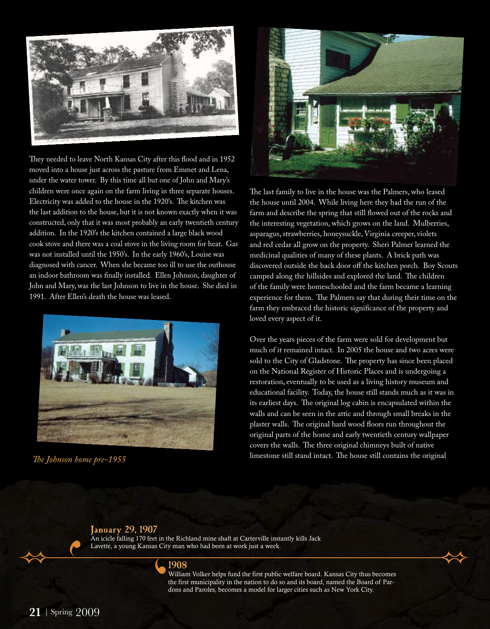

They needed to leave North Kansas City after this flood and in 1952 moved into a house just across the pasture from Emmet and Lena, under the water tower. By this time all but one of John and Mary's children were once again on the farm living in three separate houses. Electricity was added to the house in the 1920's. The kitchen was the last addition to the house, but it is not known exactly when it was constructed, only that it was most probably an early twentieth century addition. In the 1920's the kitchen contained a large black wood cook stove and there was a coal stove in the living room for heat. Gas was not installed until the 1950's. In the early 1960's, Louise was diagnosed with cancer. When she became too ill to use the outhouse an indoor bathroom was finally installed. Ellen Johnson, daughter of John and Mary, was the last Johnson to live in the house. She died in 1991. After Ellen's death the house was leased.





The last family to live in the house was the Palmers, who leased the house until 2004. While living here they had the run of the farm and describe the spring that still flowed out of the rocks and the interesting vegetation, which grows on the land. Mulberries, asparagus, strawberries, honeysuckle, Virginia creeper, violets and red cedar all grow on the property. Sheri Palmer learned the medicinal qualities of many of these plants. A brick path was discovered outside the back door off the kitchen porch. Boy Scouts camped along the hillsides and explored the land. The children of the family were homeschooled and the farm became a learning experience for them. The Palmers say that during their time on the farm they embraced the historic significance of the property and loved every aspect of it.

Over the years pieces of the farm were sold for development but much of it remained intact. In 2005 the house and two acres were sold to the City of Gladstone. The property has since been placed on the National Register of Historic Places and is undergoing a restoration, eventually to be used as a living history museum and educational facility. Today, the house still stands much as it was in its earliest days. The original log cabin is encapsulated within the walls and can be seen in the attic and through small breaks in the plaster walls. The original hard wood floors run throughout the original parts of the home and early twentieth century wallpaper covers the walls. The three original chimneys built of native *The Johnson home pre-1955* limestone still stand intact. The house still contains the original

#### January 29, 1907

An icicle falling 170 feet in the Richland mine shaft at Carterville instantly kills Jack Lavette, a young Kansas City man who had been at work just a week.

#### 1908

William Volker helps fund the first public welfare board. Kansas City thus becomes the first municipality in the nation to do so and its board, named the Board of Pardons and Paroles, becomes a model for larger cities such as New York City.